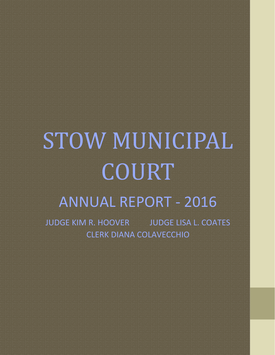# STOW MUNICIPAL COURT ANNUAL REPORT - 2016

JUDGE KIM R. HOOVER JUDGE LISA L. COATES CLERK DIANA COLAVECCHIO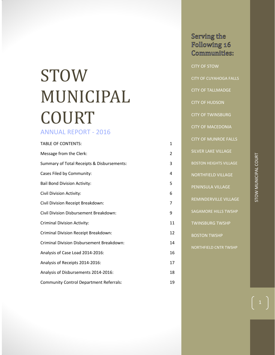## STOW MUNICIPAL COURT

## ANNUAL REPORT - 2016

| <b>TABLE OF CONTENTS:</b>                      | 1  |
|------------------------------------------------|----|
| Message from the Clerk:                        | 2  |
| Summary of Total Receipts & Disbursements:     | 3  |
| Cases Filed by Community:                      | 4  |
| <b>Bail Bond Division Activity:</b>            | 5  |
| Civil Division Activity:                       | 6  |
| Civil Division Receipt Breakdown:              | 7  |
| Civil Division Disbursement Breakdown:         | 9  |
| <b>Criminal Division Activity:</b>             | 11 |
| Criminal Division Receipt Breakdown:           | 12 |
| Criminal Division Disbursement Breakdown:      | 14 |
| Analysis of Case Load 2014-2016:               | 16 |
| Analysis of Receipts 2014-2016:                | 17 |
| Analysis of Disbursements 2014-2016:           | 18 |
| <b>Community Control Department Referrals:</b> | 19 |

Serving the Following 16 Communities: CITY OF STOW CITY OF CUYAHOGA FALLS CITY OF TALLMADGE CITY OF HUDSON CITY OF TWINSBURG CITY OF MACEDONIA CITY OF MUNROE FALLS SILVER LAKE VILLAGE BOSTON HEIGHTS VILLAGE NORTHFIELD VILLAGE PENINSULA VILLAGE REMINDERVILLE VILLAGE SAGAMORE HILLS TWSHP TWINSBURG TWSHP BOSTON TWSHP NORTHFIELD CNTR TWSHP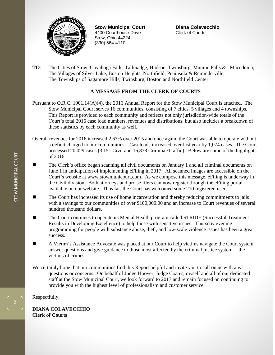

**Stow Municipal Court Diana Colavecchio** 4400 Courthouse Drive Clerk of Courts Stow, Ohio 44224 (330) 564-4110

**TO**: The Cities of Stow, Cuyahoga Falls, Tallmadge, Hudson, Twinsburg, Munroe Falls & Macedonia; The Villages of Silver Lake, Boston Heights, Northfield, Peninsula & Reminderville; The Townships of Sagamore Hills, Twinsburg, Boston and Northfield Center

#### **A MESSAGE FROM THE CLERK OF COURTS**

Pursuant to O.R.C. 1901.14(A)(4), the 2016 Annual Report for the Stow Municipal Court is attached. The Stow Municipal Court serves 16 communities, consisting of 7 cities, 5 villages and 4 townships. This Report is provided to each community and reflects not only jurisdiction-wide totals of the Court's total 2016 case load numbers, revenues and distributions, but also includes a breakdown of these statistics by each community as well.

- Overall revenues for 2016 increased 2.67% over 2015 and once again, the Court was able to operate without a deficit charged to our communities. Caseloads increased over last year by 1,074 cases. The Court processed 20,029 cases (3,151 Civil and 16,878 Criminal/Traffic). Below are some of the highlights of 2016:
- The Clerk's office began scanning all civil documents on January 1 and all criminal documents on June 1 in anticipation of implementing eFiling in 2017. All scanned images are accessible on the Court's website at [www.stowmunicourt.com.](http://www.stowmunicourt.com/) As we compose this message, eFiling is underway in the Civil division. Both attorneys and pro se filers can now register through the eFiling portal available on our website. Thus far, the Court has welcomed some 210 registered users.
- The Court has increased its use of home incarceration and thereby reducing commitments to jails with a savings to our communities of over \$100,000.00 and an increase to Court revenues of several hundred thousand dollars.
- The Court continues to operate its Mental Health program called STRIDE (Successful Treatment Results in Developing Excellence) to help those with sensitive issues. Thursday evening programming for people with substance abuse, theft, and low-scale violence issues has been a great success.
- A Victim's Assistance Advocate was placed at our Court to help victims navigate the Court system, answer questions and give guidance to those most affected by the criminal justice system -- the victims of crimes.

We certainly hope that our communities find this Report helpful and invite you to call on us with any questions or concerns. On behalf of Judge Hoover, Judge Coates, myself and all of our dedicated staff at the Stow Municipal Court, we look forward to 2017 and remain focused on continuing to provide you with the highest level of professionalism and customer service.

Respectfully,

**DIANA COLAVECCHIO Clerk of Courts**

2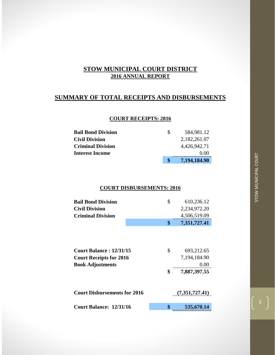## **SUMMARY OF TOTAL RECEIPTS AND DISBURSEMENTS**

#### **COURT RECEIPTS: 2016**

| <b>Bail Bond Division</b> | <b>S</b> | 584,981.12   |
|---------------------------|----------|--------------|
| <b>Civil Division</b>     |          | 2,182,261.07 |
| <b>Criminal Division</b>  |          | 4,426,942.71 |
| <b>Interest Income</b>    |          | 0.00         |
|                           |          | 7,194,184.90 |

#### **COURT DISBURSEMENTS: 2016**

|                                     | \$                                                               | 610,236.12     |
|-------------------------------------|------------------------------------------------------------------|----------------|
|                                     |                                                                  | 2,234,972.20   |
|                                     |                                                                  | 4,506,519.09   |
|                                     | \$                                                               | 7,351,727.41   |
|                                     |                                                                  |                |
|                                     |                                                                  | 693,212.65     |
|                                     |                                                                  | 7,194,184.90   |
|                                     |                                                                  | 0.00           |
|                                     | \$                                                               | 7,887,397.55   |
| <b>Court Disbursements for 2016</b> |                                                                  | (7,351,727.41) |
|                                     |                                                                  |                |
| Court Balance: 12/31/16             | \$                                                               | 535,670.14     |
|                                     | <b>Court Balance: 12/31/15</b><br><b>Court Receipts for 2016</b> | \$             |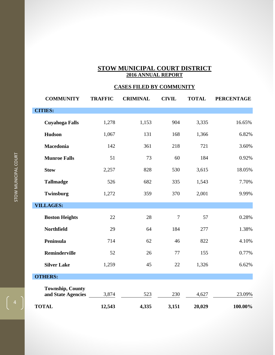## **CASES FILED BY COMMUNITY**

| <b>COMMUNITY</b>                              | <b>TRAFFIC</b> | <b>CRIMINAL</b> | <b>CIVIL</b>   | <b>TOTAL</b> | <b>PERCENTAGE</b> |
|-----------------------------------------------|----------------|-----------------|----------------|--------------|-------------------|
| <b>CITIES:</b>                                |                |                 |                |              |                   |
| <b>Cuyahoga Falls</b>                         | 1,278          | 1,153           | 904            | 3,335        | 16.65%            |
| <b>Hudson</b>                                 | 1,067          | 131             | 168            | 1,366        | 6.82%             |
| Macedonia                                     | 142            | 361             | 218            | 721          | 3.60%             |
| <b>Munroe Falls</b>                           | 51             | 73              | 60             | 184          | 0.92%             |
| <b>Stow</b>                                   | 2,257          | 828             | 530            | 3,615        | 18.05%            |
| <b>Tallmadge</b>                              | 526            | 682             | 335            | 1,543        | 7.70%             |
| Twinsburg                                     | 1,272          | 359             | 370            | 2,001        | 9.99%             |
| <b>VILLAGES:</b>                              |                |                 |                |              |                   |
| <b>Boston Heights</b>                         | 22             | 28              | $\overline{7}$ | 57           | 0.28%             |
| <b>Northfield</b>                             | 29             | 64              | 184            | 277          | 1.38%             |
| Peninsula                                     | 714            | 62              | 46             | 822          | 4.10%             |
| Reminderville                                 | 52             | 26              | 77             | 155          | 0.77%             |
| <b>Silver Lake</b>                            | 1,259          | 45              | 22             | 1,326        | 6.62%             |
| <b>OTHERS:</b>                                |                |                 |                |              |                   |
| <b>Township, County</b><br>and State Agencies | 3,874          | 523             | 230            | 4,627        | 23.09%            |
| <b>TOTAL</b>                                  | 12,543         | 4,335           | 3,151          | 20,029       | 100.00%           |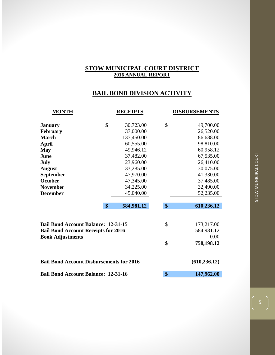## **BAIL BOND DIVISION ACTIVITY**

| <b>MONTH</b>                                    | <b>RECEIPTS</b>  | <b>DISBURSEMENTS</b>     |
|-------------------------------------------------|------------------|--------------------------|
| <b>January</b>                                  | \$<br>30,723.00  | \$<br>49,700.00          |
| February                                        | 37,000.00        | 26,520.00                |
| <b>March</b>                                    | 137,450.00       | 86,688.00                |
| <b>April</b>                                    | 60,555.00        | 98,810.00                |
| <b>May</b>                                      | 49,946.12        | 60,958.12                |
| June                                            | 37,482.00        | 67,535.00                |
| July                                            | 23,960.00        | 26,410.00                |
| <b>August</b>                                   | 33,285.00        | 30,075.00                |
| <b>September</b>                                | 47,970.00        | 41,330.00                |
| <b>October</b>                                  | 47,345.00        | 37,485.00                |
| <b>November</b>                                 | 34,225.00        | 32,490.00                |
| <b>December</b>                                 | 45,040.00        | 52,235.00                |
|                                                 | \$<br>584,981.12 | \$<br>610,236.12         |
| <b>Bail Bond Account Balance: 12-31-15</b>      |                  | \$<br>173,217.00         |
| <b>Bail Bond Account Receipts for 2016</b>      |                  | 584,981.12               |
| <b>Book Adjustments</b>                         |                  | \$<br>0.00<br>758,198.12 |
|                                                 |                  |                          |
| <b>Bail Bond Account Disbursements for 2016</b> |                  | (610, 236.12)            |
| <b>Bail Bond Account Balance: 12-31-16</b>      | \$<br>147,962.00 |                          |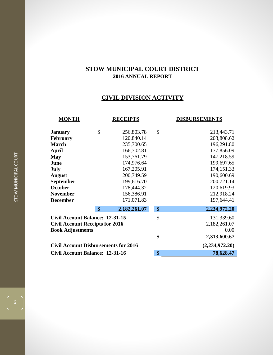## **CIVIL DIVISION ACTIVITY**

| <b>MONTH</b>                                | <b>RECEIPTS</b>    | <b>DISBURSEMENTS</b> |
|---------------------------------------------|--------------------|----------------------|
| <b>January</b>                              | \$<br>256,803.78   | \$<br>213,443.71     |
| <b>February</b>                             | 120,840.14         | 203,808.62           |
| <b>March</b>                                | 235,700.65         | 196,291.80           |
| April                                       | 166,702.81         | 177,856.09           |
| <b>May</b>                                  | 153,761.79         | 147,218.59           |
| June                                        | 174,976.64         | 199,697.65           |
| <b>July</b>                                 | 167,205.91         | 174,151.33           |
| <b>August</b>                               | 200,749.59         | 190,600.69           |
| <b>September</b>                            | 199,616.70         | 200,721.14           |
| <b>October</b>                              | 178,444.32         | 120,619.93           |
| <b>November</b>                             | 156,386.91         | 212,918.24           |
| <b>December</b>                             | 171,071.83         | 197,644.41           |
|                                             | \$<br>2,182,261.07 | \$<br>2,234,972.20   |
| <b>Civil Account Balance: 12-31-15</b>      |                    | \$<br>131,339.60     |
| <b>Civil Account Receipts for 2016</b>      |                    | 2,182,261.07         |
| <b>Book Adjustments</b>                     |                    | 0.00                 |
|                                             |                    | \$<br>2,313,600.67   |
| <b>Civil Account Disbursements for 2016</b> |                    | (2,234,972.20)       |
| <b>Civil Account Balance: 12-31-16</b>      |                    | \$<br>78,628.47      |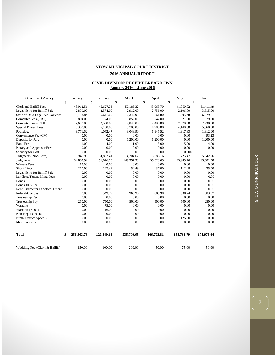#### **2016 ANNUAL REPORT**

#### **CIVIL DIVISION: RECEIPT BREAKDOWN January 2016 – June 2016**

| Government Agency                 | January          |      | February   | March      | April      | May        | June       |
|-----------------------------------|------------------|------|------------|------------|------------|------------|------------|
|                                   | \$               | \$   |            | \$         | \$         | \$         | \$         |
| <b>Clerk and Bailiff Fees</b>     | 48.912.51        |      | 45.627.73  | 57,183.32  | 43.963.70  | 41.050.02  | 51,411.49  |
| Legal News for Bailiff Sale       | 2.899.00         |      | 2,574.00   | 2,912.00   | 2,756.00   | 2.106.00   | 3,315.00   |
| State of Ohio Legal Aid Societies | 6,153.84         |      | 5,641.02   | 6,342.93   | 5,761.80   | 4,605.48   | 6,879.51   |
| Computer Fees (CRT)               | 804.00           |      | 774.00     | 852.00     | 747.00     | 621.00     | 879.00     |
| Computer Fees (CLK)               | 2,680.00         |      | 2,580.00   | 2,840.00   | 2,490.00   | 2,070.00   | 2,930.00   |
| <b>Special Project Fees</b>       | 5,360.00         |      | 5,160.00   | 5,700.00   | 4,980.00   | 4,140.00   | 5,860.00   |
| Poundage                          | 3,771.52         |      | 1,042.47   | 3,048.90   | 1,945.52   | 1,917.33   | 1,912.00   |
| Convenience Fee (CV)              | 0.00             |      | 0.00       | 0.00       | 0.00       | 0.00       | 93.23      |
| Deposits for Jury                 | 0.00             |      | 0.00       | 1,200.00   | 1,200.00   | 0.00       | 1,200.00   |
| <b>Bank Fees</b>                  |                  | 1.00 | 4.00       | 1.00       | 3.00       | 5.00       | 4.00       |
| Notary and Appraiser Fees         | 0.00             |      | 0.00       | 0.00       | 0.00       | 0.00       | 0.00       |
| Security for Cost                 | 0.00             |      | 0.00       | 0.00       | 0.00       | 0.000.00   |            |
| Judgments (Non-Garn)              | 945.99           |      | 4,822.41   | 4,704.67   | 6,386.16   | 1,725.47   | 5,842.76   |
| Judgments                         | 184,802.92       |      | 51,076.73  | 149,397.38 | 95,328.65  | 93,945.76  | 93,681.58  |
| <b>Witness Fees</b>               | 13.00            |      | 0.00       | 0.00       | 0.00       | 0.00       | 0.00       |
| <b>Sheriff</b> Fees               | 210.00           |      | 147.49     | 54.49      | 37.00      | 112.49     | 35.00      |
| Legal News for Bailiff Sale       | 0.00             |      | 0.00       | 0.00       | 0.00       | 0.00       | 0.00       |
| Landlord/Tenant Filing Fees       | 0.00             |      | 0.00       | 0.00       | 0.00       | 0.00       | 0.00       |
| <b>Bonds</b>                      | 0.00             |      | 0.00       | 0.00       | 0.00       | 0.00       | 0.00       |
| Bonds 10% Fee                     | 0.00             |      | 0.00       | 0.00       | 0.00       | 0.00       | 0.00       |
| Rent/Escrow for Landlord Tenant   | 0.00             |      | 0.00       | 0.00       | 0.00       | 0.00       | 0.00       |
| Refund/Overpay                    | 0.00             |      | 549.29     | 963.96     | 603.98     | 838.24     | 683.07     |
| Trusteeship Fee                   | 0.00             |      | 0.00       | 0.00       | 0.00       | 0.00       | 0.00       |
| <b>Trusteeship Pay</b>            | 250.00           |      | 750.00     | 500.00     | 500.00     | 500.00     | 250.00     |
| Warrants                          | 0.00             |      | 75.00      | 0.00       | 0.00       | 0.00       | 0.00       |
| Warrants (SP01)                   | 0.00             |      | 16.00      | 0.00       | 0.00       | 0.00       | 0.00       |
| Non-Negot Checks                  | 0.00             |      | 0.00       | 0.00       | 0.00       | 0.00       | 0.00       |
| Ninth District Appeals            | 0.00             |      | 0.00       | 0.00       | 0.00       | 125.00     | 0.00       |
| Miscellaneous                     | 0.00             |      | 0.00       | 0.00       | 0.00       | 0.00       | 0.00       |
| <b>Total:</b>                     | \$<br>256,803.78 |      | 120,840.14 | 235,700.65 | 166,702.81 | 153,761.79 | 174,976.64 |
| Wedding Fee (Clerk & Bailiff)     | 150.00           |      | 100.00     | 200.00     | 50.00      | 75.00      | 50.00      |

 $\begin{pmatrix} 7 \end{pmatrix}$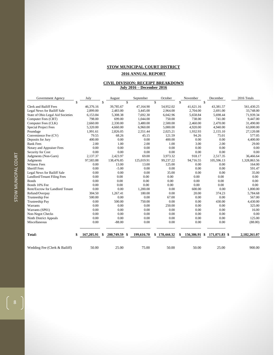#### **2016 ANNUAL REPORT**

#### **CIVIL DIVISION: RECEIPT BREAKDOWN July 2016 – December 2016**

| Government Agency                 | July             |    | August     |                    | September  | October      | November         |    | December      |  | 2016 Totals  |
|-----------------------------------|------------------|----|------------|--------------------|------------|--------------|------------------|----|---------------|--|--------------|
|                                   | \$               | \$ |            | $\mathbf{\hat{s}}$ |            | \$           | \$               | \$ |               |  |              |
| <b>Clerk and Bailiff Fees</b>     | 46.376.16        |    | 39,785.67  |                    | 47,164.90  | 54,952.02    | 41,621.16        |    | 43,381.57     |  | 561,430.25   |
| Legal News for Bailiff Sale       | 2,899.00         |    | 2,483.00   |                    | 3,445.00   | 2,964.00     | 2,704.00         |    | 2,691.00      |  | 33,748.00    |
| State of Ohio Legal Aid Societies | 6,153.84         |    | 5,308.38   |                    | 7,692.30   | 6,042.96     | 5,658.84         |    | 5,698.44      |  | 71,939.34    |
| Computer Fees (CRT)               | 798.00           |    | 699.00     |                    | 1,044.00   | 750.00       | 738.00           |    | 741.00        |  | 9,447.00     |
| Computer Fees (CLK)               | 2,660.00         |    | 2,330.00   |                    | 3,480.00   | 2,500.00     | 2,460.00         |    | 2,470.00      |  | 31,490.00    |
| <b>Special Project Fees</b>       | 5,320.00         |    | 4,660.00   |                    | 6,960.00   | 5,000.00     | 4,920.00         |    | 4,940.00      |  | 63,000.00    |
| Poundage                          | 1.991.61         |    | 2,826.05   |                    | 2,551.44   | 2,025.21     | 1,932.93         |    | 2,155.10      |  | 27,120.08    |
| Convenience Fee (CV)              | 79.55            |    | 68.26      |                    | 45.15      | 121.59       | 94.26            |    | 75.01         |  | 577.05       |
| Deposits for Jury                 | 400.00           |    | 0.00       |                    | 0.00       | 400.00       | 0.00             |    | 0.00          |  | 4,400.00     |
| <b>Bank Fees</b>                  | 2.00             |    | 1.00       |                    | 2.00       | 1.00         | 3.00             |    | 2.00          |  | 29.00        |
| Notary and Appraiser Fees         | 0.00             |    | 0.00       |                    | 0.00       | 0.00         | 0.00             |    | 0.00          |  | 0.00         |
| Security for Cost                 | 0.00             |    | 0.00       |                    | 0.00       | 0.00         | 0.00             |    | 0.00          |  | 0.00         |
| Judgments (Non-Garn)              | 2,137.37         |    | 2,423.97   |                    | 69.00      | 3,973.32     | 918.17           |    | 2,517.35      |  | 36,466.64    |
| Judgments                         | 97,583.88        |    | 138,476.85 |                    | 125,019.91 | 99,237.22    | 94,716.55        |    | 105,596.13    |  | 1,328,863.56 |
| <b>Witness Fees</b>               | 0.00             |    | 13.00      |                    | 13.00      | 125.00       | 0.00             |    | 0.00          |  | 164.00       |
| <b>Sheriff Fees</b>               | 0.00             |    | $-5.00$    |                    | 0.00       | 0.00         | 0.00             |    | 0.00          |  | 591.47       |
| Legal News for Bailiff Sale       | 0.00             |    | 0.00       |                    | 0.00       | 35.00        | 0.00             |    | 0.00          |  | 35.00        |
| Landlord/Tenant Filing Fees       | 0.00             |    | 0.00       |                    | 0.00       | 0.00         | 0.00             |    | 0.00          |  | 0.00         |
| <b>Bonds</b>                      | 0.00             |    | 0.00       |                    | 0.00       | 0.00         | 0.00             |    | 0.00          |  | 0.00         |
| Bonds 10% Fee                     | 0.00             |    | 0.00       |                    | 0.00       | 0.00         | 0.00             |    | 0.00          |  | 0.00         |
| Rent/Escrow for Landlord Tenant   | 0.00             |    | 0.00       |                    | 1,200.00   | 0.00         | 600.00           |    | 0.00          |  | 1,800.00     |
| Refund/Overpay                    | 304.50           |    | 1.267.41   |                    | 180.00     | 0.00         | 20.00            |    | 374.23        |  | 5,784.68     |
| Trusteeship Fee                   | 500.00           |    | 0.00       |                    | 0.00       | 67.00        | 0.00             |    | 0.00          |  | 567.00       |
| <b>Trusteeship Pay</b>            | 0.00             |    | 500.00     |                    | 750.00     | 0.00         | 0.00             |    | 430.00        |  | 4,430.00     |
| Warrants                          | 0.00             |    | 0.00       |                    | 0.00       | 250.00       | 0.00             |    | 0.00          |  | 325.00       |
| Warrants (SP01)                   | 0.00             |    | 0.00       |                    | 0.00       | 0.00         | 0.00             |    | 0.00          |  | 16.00        |
| Non-Negot Checks                  | 0.00             |    | 0.00       |                    | 0.00       | 0.00         | 0.00             |    | 0.00          |  | 0.00         |
| Ninth District Appeals            | 0.00             |    | 0.00       |                    | 0.00       | 0.00         | 0.00             |    | 0.00          |  | 125.00       |
| Miscellaneous                     | 0.00             |    | $-88.00$   |                    | 0.00       | 0.00         | 0.00             |    | 0.00          |  | (88.00)      |
| Total:                            | \$<br>167,205.91 | -S | 200,749.59 | -\$                | 199,616.70 | \$178,444.32 | \$<br>156,386.91 | -8 | 171,071.83 \$ |  | 2,182,261.07 |
| Wedding Fee (Clerk & Bailiff)     | 50.00            |    | 25.00      |                    | 75.00      | 50.00        | 50.00            |    | 25.00         |  | 900.00       |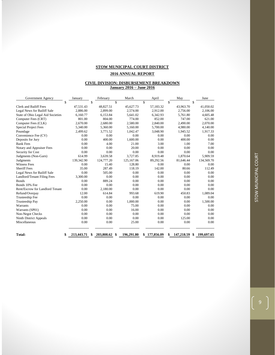#### **2016 ANNUAL REPORT**

#### **CIVIL DIVISION: DISBURSEMENT BREAKDOWN January 2016 – June 2016**

| Government Agency                 | January          | February          | March              | April      | May        | June            |
|-----------------------------------|------------------|-------------------|--------------------|------------|------------|-----------------|
|                                   | \$               | \$                | $\mathbf{\hat{S}}$ | \$         | \$         | \$              |
| Clerk and Bailiff Fees            | 47,531.43        | 48,827.51         | 45,627.73          | 57,183.32  | 43,963.70  | 41,050.02       |
| Legal News for Bailiff Sale       | 2.886.00         | 2.899.00          | 2,574.00           | 2.912.00   | 2.756.00   | 2,106.00        |
| State of Ohio Legal Aid Societies | 6,160.77         | 6,153.84          | 5,641.02           | 6,342.93   | 5,761.80   | 4,605.48        |
| Computer Fees (CRT)               | 801.00           | 804.00            | 774.00             | 852.00     | 747.00     | 621.00          |
| Computer Fees (CLK)               | 2,670.00         | 2,680.00          | 2,580.00           | 2,840.00   | 2,490.00   | 2,070.00        |
| <b>Special Project Fees</b>       | 5,340.00         | 5,360.00          | 5,160.00           | 5,700.00   | 4,980.00   | 4,140.00        |
| Poundage                          | 2.499.62         | 3.771.52          | 1.042.47           | 3.048.90   | 1,945.52   | 1,917.33        |
| Convenience Fee (CV)              | 0.00             | 0.00              | 0.00               | 0.00       | 0.00       | 0.00            |
| Deposits for Jury                 | 0.00             | 400.00            | 1.600.00           | 0.00       | 400.00     | 0.00            |
| <b>Bank Fees</b>                  | 0.00             | 4.00              | 21.00              | 3.00       | 1.00       | 7.00            |
| Notary and Appraiser Fees         | 0.00             | 0.00              | 20.00              | 0.00       | 0.00       | 0.00            |
| Security for Cost                 | 0.00             | 0.00              | 0.00               | 0.00       | 0.00       | 0.00            |
| Judgments (Non-Garn)              | 614.99           | 3.639.58          | 3.727.85           | 8.919.48   | 1.870.64   | 5.909.59        |
| Judgments                         | 139,342.90       | 124,777.20        | 125,167.06         | 89,292.56  | 81,646.44  | 134,569.70      |
| <b>Witness Fees</b>               | 0.00             | 15.40             | 128.80             | 0.00       | 0.00       | 0.00            |
| <b>Sheriff</b> Fees               | 35.00            | 287.49            | 118.19             | 142.00     | 80.66      | 112.49          |
| Legal News for Bailiff Sale       | 0.00             | 505.00            | 0.00               | 0.00       | 0.00       | 0.00            |
| Landlord/Tenant Filing Fees       | 3,300.00         | 0.00              | 0.00               | 0.00       | 0.00       | 0.00            |
| <b>Bonds</b>                      | 0.00             | 889.24            | 0.00               | 0.00       | 0.00       | 0.00            |
| Bonds 10% Fee                     | 0.00             | 0.00              | 0.00               | 0.00       | 0.00       | 0.00            |
| Rent/Escrow for Landlord Tenant   | 0.00             | 2,180.00          | 0.00               | 0.00       | 0.00       | 0.00            |
| Refund/Overpay                    | 12.00            | 614.84            | 993.68             | 619.90     | 450.83     | 1.089.04        |
| Trusteeship Fee                   | 0.00             | 0.00              | 0.00               | 0.00       | 0.00       | 0.00            |
| <b>Trusteeship Pay</b>            | 2,250.00         | 0.00              | 1,000.00           | 0.00       | 0.00       | 1,500.00        |
| Warrants                          | 0.00             | 0.00              | 75.00              | 0.00       | 0.00       | 0.00            |
| Warrants (SP01)                   | 0.00             | 0.00              | 16.00              | 0.00       | 0.00       | 0.00            |
| Non-Negot Checks                  | 0.00             | 0.00              | 0.00               | 0.00       | 0.00       | 0.00            |
| Ninth District Appeals            | 0.00             | 0.00              | 0.00               | 0.00       | 125.00     | 0.00            |
| Miscellaneous                     | 0.00             | 0.00              | 25.00              | 0.00       | 0.00       | 0.00            |
| Total:                            | \$<br>213,443.71 | 203,808.62<br>\$. | 196,291.80<br>\$   | 177,856.09 | 147,218.59 | 199,697.65<br>S |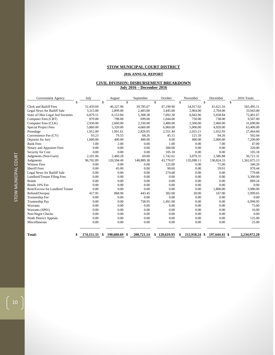#### **2016 ANNUAL REPORT**

#### **CIVIL DIVISION: DISBURSEMENT BREAKDOWN July 2016 – December 2016**

| Government Agency                 | July       | August                  | September  | October      | November   | December            | 2016 Totals  |
|-----------------------------------|------------|-------------------------|------------|--------------|------------|---------------------|--------------|
|                                   | \$         | \$<br>\$                |            | \$           | \$         | \$                  | \$           |
| <b>Clerk and Bailiff Fees</b>     | 51,459.69  | 46,327.96               | 39,785.67  | 47,199.90    | 54,917.02  | 41,621.16           | 565,495.11   |
| Legal News for Bailiff Sale       | 3,315.00   | 2,899.00                | 2,483.00   | 3,445.00     | 2,964.00   | 2,704.00            | 33,943.00    |
| State of Ohio Legal Aid Societies | 6,879.51   | 6,153.84                | 5,308.38   | 7,692.30     | 6,042.96   | 5,658.84            | 72,401.67    |
| Computer Fees (CRT)               | 879.00     | 798.00                  | 699.00     | 1,044.00     | 750.00     | 738.00              | 9,507.00     |
| Computer Fees (CLK)               | 2,930.00   | 2,660.00                | 2,330.00   | 3,480.00     | 2,500.00   | 2,460.00            | 31,690.00    |
| <b>Special Project Fees</b>       | 5,860.00   | 5,320.00                | 4,660.00   | 6,960.00     | 5,000.00   | 4,920.00            | 63,400.00    |
| Poundage                          | 1,912.00   | 1,991.61                | 2.826.05   | 2,551.44     | 2,025.21   | 1.932.93            | 27,464.60    |
| Convenience Fee (CV)              | 93.23      | 79.55                   | 68.26      | 45.15        | 121.59     | 94.26               | 502.04       |
| Deposits for Jury                 | 1,600.00   | 400.00                  | 400.00     | 0.00         | 400.00     | 2,000.00            | 7,200.00     |
| <b>Bank Fees</b>                  | 1.00       | 2.00                    | 0.00       | 1.00         | 0.00       | 7.00                | 47.00        |
| Notary and Appraiser Fees         | 0.00       | 0.00                    | 0.00       | 300.00       | 0.00       | 0.00                | 320.00       |
| Security for Cost                 | 0.00       | 0.00                    | 0.00       | 105.18       | 0.00       | 0.00                | 105.18       |
| Judgments (Non-Garn)              | 2,101.06   | 2,460.28                | 69.00      | 1,742.61     | 3,079.35   | 2,586.88            | 36,721.31    |
| Judgments                         | 96,702.89  | 120,594.49              | 140,889.38 | 43,770.07    | 135,098.11 | 130,824.33          | 1,362,675.13 |
| <b>Witness Fees</b>               | 0.00       | 0.00                    | 0.00       | 125.00       | 0.00       | 71.00               | 340.20       |
| <b>Sheriff Fees</b>               | 0.00       | 45.00                   | 0.00       | 90.60        | 0.00       | 59.01               | 970.44       |
| Legal News for Bailiff Sale       | 0.00       | 0.00                    | 0.00       | 274.68       | 0.00       | 0.00                | 779.68       |
| Landlord/Tenant Filing Fees       | 0.00       | 0.00                    | 0.00       | 0.00         | 0.00       | 0.00                | 3,300.00     |
| <b>Bonds</b>                      | 0.00       | 0.00                    | 0.00       | 0.00         | 0.00       | 0.00                | 889.24       |
| Bonds 10% Fee                     | 0.00       | 0.00                    | 0.00       | 0.00         | 0.00       | 0.00                | 0.00         |
| Rent/Escrow for Landlord Tenant   | 0.00       | 0.00                    | 0.00       | 0.00         | 0.00       | 1,800.00            | 3,980.00     |
| Refund/Overpay                    | 417.95     | 868.96                  | 443.45     | 302.00       | 20.00      | 167.00              | 5,999.65     |
| Trusteeship Fee                   | 0.00       | 0.00                    | 0.00       | 0.00         | 0.00       | 0.00                | 0.00         |
| Trusteeship Pay                   | 0.00       | 0.00                    | 758.95     | 1,491.00     | 0.00       | 0.00                | 6,999.95     |
| Warrants                          | 0.00       | 0.00                    | 0.00       | 0.00         | 0.00       | 0.00                | 75.00        |
| Warrants (SP01)                   | 0.00       | 0.00                    | 0.00       | 0.00         | 0.00       | 0.00                | 16.00        |
| Non-Negot Checks                  | 0.00       | 0.00                    | 0.00       | 0.00         | 0.00       | 0.00                | 0.00         |
| Ninth District Appeals            | 0.00       | 0.00                    | 0.00       | 0.00         | 0.00       | 0.00                | 125.00       |
| Miscellaneous                     | 0.00       | 0.00                    | 0.00       | 0.00         | 0.00       | 0.00                | 25.00        |
| Total:                            | 174,151.33 | 190,600.69<br>-\$<br>\$ | 200,721.14 | \$120,619.93 | 212,918.24 | 197,644.41 \$<br>-S | 2,234,972.20 |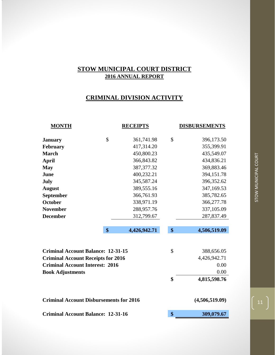## **CRIMINAL DIVISION ACTIVITY**

| <b>MONTH</b>                                   | <b>RECEIPTS</b>    |                   | <b>DISBURSEMENTS</b> |
|------------------------------------------------|--------------------|-------------------|----------------------|
|                                                |                    |                   |                      |
| <b>January</b>                                 | \$<br>361,741.98   | \$                | 396,173.50           |
| February                                       | 417,314.20         |                   | 355,399.91           |
| <b>March</b>                                   | 450,800.23         |                   | 435,549.07           |
| <b>April</b>                                   | 366,843.82         |                   | 434,836.21           |
| <b>May</b>                                     | 387, 377. 32       |                   | 369,883.46           |
| June                                           | 400,232.21         |                   | 394,151.78           |
| July                                           | 345,587.24         |                   | 396,352.62           |
| <b>August</b>                                  | 389,555.16         |                   | 347,169.53           |
| September                                      | 366,761.93         |                   | 385,782.65           |
| October                                        | 338,971.19         |                   | 366,277.78           |
| <b>November</b>                                | 288,957.76         |                   | 337,105.09           |
| <b>December</b>                                | 312,799.67         |                   | 287,837.49           |
|                                                |                    |                   |                      |
|                                                | \$<br>4,426,942.71 | $\boldsymbol{\$}$ | 4,506,519.09         |
|                                                |                    |                   |                      |
|                                                |                    |                   |                      |
| <b>Criminal Account Balance: 12-31-15</b>      |                    | $\mathcal{S}$     | 388,656.05           |
| <b>Criminal Account Receipts for 2016</b>      |                    |                   | 4,426,942.71         |
| <b>Criminal Account Interest: 2016</b>         |                    |                   | 0.00                 |
| <b>Book Adjustments</b>                        |                    |                   | 0.00                 |
|                                                |                    | \$                | 4,815,598.76         |
|                                                |                    |                   |                      |
|                                                |                    |                   |                      |
| <b>Criminal Account Disbursements for 2016</b> |                    |                   | (4,506,519.09)       |
| <b>Criminal Account Balance: 12-31-16</b>      | \$                 | 309,079.67        |                      |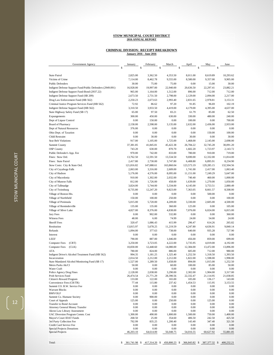## **CRIMINAL DIVISION: RECEIPT BREAKDOWN January 2016 - June 2016**

| Government Agency                                                | January           | February             | March                | April            | May               | June                 |
|------------------------------------------------------------------|-------------------|----------------------|----------------------|------------------|-------------------|----------------------|
|                                                                  | \$                | \$                   | \$                   | \$               | Ś                 | \$                   |
| <b>State Patrol</b>                                              | 2,825.00          |                      |                      | 8,011.00         | 8,619.89          | 10,293.62            |
|                                                                  |                   | 3,362.50             | 4,353.50             | 8,580.00         |                   | 9,905.00             |
| Victims of Crime<br><b>Public Defenders</b>                      | 7,114.00<br>30.00 | 8,462.78<br>75.00    | 9,555.00             | 0.00             | 9,357.00<br>15.00 | 30.00                |
| Indigent Defense Support Fund/Public Defenders (2949.091)        | 16,928.00         | 19,997.00            | 75.00<br>22,940.00   | 20,636.50        | 22,297.41         | 23,882.21            |
| Indigent Defense Support Fund-Bond (2937.22)                     | 965.00            | 1,164.00             | 1,512.00             | 896.00           | 712.00            | 712.00               |
| Indigent Defense Support Fund (SB 209)                           | 2,673.50          | 2,731.50             | 2,798.00             | 2,129.00         | 2,094.00          | 2,217.00             |
| Drug Law Enforcement Fund (HB 562)                               | 2,250.23          | 2,673.63             | 2,993.40             | 2,831.65         | 2,978.81          | 3,153.31             |
| Criminal Justice Program Services Fund (HB 562)                  | 72.92             | 86.62                | 97.20                | 91.85            | 96.69             | 102.19               |
| Indigent Defense Support Fund (HB 562)                           | 3,310.50          | 3,933.50             | 4,419.00             | 4,179.00         | 4,395.00          | 4,637.00             |
| State Highway Safety Fund (SB 17)                                | 65.00             | 97.50                | 83.21                | 61.79            | 85.00             | 62.50                |
| Expungements                                                     | 300.00            | 450.00               | 630.00               | 330.00           | 480.00            | 240.00               |
| Dept of Liquor Control                                           | 0.00              | 150.00               | 0.00                 | 100.00           | 0.00              | 700.00               |
| <b>Board of Pharmacy</b>                                         | 2,158.00          | 2,598.00             | 3,135.00             | 2,632.00         | 2,436.00          | 2,933.00             |
| Dept of Natural Resources                                        | 376.00            | 0.00                 | 0.00                 | 0.00             | 0.00              | 0.00                 |
| Ohio Dept. of Taxation                                           | 0.00              | 0.00                 | 0.00                 | 0.00             | 150.00            | 100.00               |
| Child Restraint                                                  | 0.00              | 30.00                | 0.00                 | 30.00            | 0.00              | 30.00                |
| <b>Seat Belt Violations</b>                                      | 917.00            | 1,105.00             | 1,725.00             | 1,468.00         | 2,145.00          | 2,698.00             |
| Summit County                                                    | 37,381.85         | 41,845.81            | 45,422.38            | 26,784.22        | 32,745.28         | 30,091.20            |
| <b>OSP</b> County                                                | 743.20            | 630.00               | 870.70               | 1,602.20         | 1,723.97          | 2,143.72             |
| Public Defender's App. Fee                                       | 970.00            | 742.00               | 833.00               | 780.00           | 910.00            | 719.00               |
| Fines: Stow Ord.                                                 | 13,762.50         | 12,591.50            | 13,534.50            | 9,690.00         | 12,332.00         | 11,814.00            |
| Fines: State Patrol                                              | 2,417.80          | 2,730.00             | 3,747.80             | 6,408.80         | 6,895.91          | 8,234.90             |
| Stow Costs: City & State Ord.                                    | 121,816.82        | 147,088.61           | 163,860.04           | 123,573.19       | 129,285.15        | 132,504.56           |
| City of Cuyahoga Falls                                           | 2,063.00          | 3,316.00             | 2,609.00             | 1,741.00         | 2,417.00          | 1,063.40             |
| City of Hudson                                                   | 5,176.00          | 4,576.00             | 8,095.00             | 11,151.00        | 7,249.29          | 5,647.00             |
| City of Macedonia                                                | 910.00            | 1,302.00             | 2,032.00             | 740.40           | 460.00            | 1,000.00             |
| City of Munroe Falls                                             | 812.00            | 1,726.00             | 458.00               | 1,639.00         | 1,270.00          | 1,050.00             |
| City of Tallmadge                                                | 3,824.00          | 5,744.00             | 5,334.00             | 4,145.00         | 3,753.51          | 2,880.49             |
| City of Twinsburg                                                | 8,735.80          | 12,247.20            | 9,823.00             | 7,363.05         | 8,661.57          | 8,508.00             |
| Village of Boston Hts.                                           | 0.00              | 0.00                 | 0.00                 | 0.00             | 500.00            | 0.00                 |
| Village of Northfield                                            | 150.00            | 100.00               | 250.00               | 0.00             | 0.00              | 100.00               |
| Village of Peninsula                                             | 5,015.00          | 5,720.00             | 4,209.00             | 3,330.00         | 2,605.00          | 4,500.00             |
| Village of Reminderville                                         | 135.00            | 135.00               | 360.00               | 125.00           | 0.00              | 105.00               |
| Village of Silver Lake                                           | 4,827.00          | 8,376.00             | 4,838.00             | 7,076.00         | 6,024.00          | 6,815.00             |
| Jury Fees                                                        | 0.00              | 902.00               | 532.80               | 0.00             | 0.00              | 360.00               |
| <b>Witness Fees</b>                                              | 48.00             | 6.00                 | 74.99                | 24.00            | 54.00             | 24.00                |
| <b>Sheriff</b> Fees                                              | 320.47            | 1,086.43             | 415.99               | 296.47           | 614.26            | 265.82               |
| Restitution                                                      | 13,815.97         | 5,678.25             | 11,219.59            | 4,247.80         | 4,636.91          | 9,840.14             |
| Refunds                                                          | 1,094.00          | 377.63               | 738.00               | 640.00           | 935.28            | 727.90               |
| Interest                                                         | 0.00              | 0.00                 | 0.00                 | 0.00             | 0.00              | 0.00                 |
| <b>LEEF</b>                                                      | 790.00            | 887.00               | 1,046.00             | 456.00           | 859.00            | 699.00               |
| <b>Computer Fees</b><br>(CRT)                                    | 3,250.00          | 3,723.05             | 4,222.00             | 3,735.95         | 4,019.00          | 4,192.00             |
| (CLK)<br><b>Computer Fees</b>                                    | 10,830.00         | 12,448.60            | 14,080.00            | 12,384.00        | 13,472.00         | 13,896.00            |
| ATA                                                              | 780.00            | 824.00               | 886.00               | 605.00           | 712.00            | 980.00               |
| Indigent Driver's Alcohol Treatment Fund (HB 562)                | 994.35            | 1,181.25             | 1,325.40             | 1,252.50         | 1,318.50          | 1,393.50             |
| Incarceration<br>State Mandated Alcohol Monitoring Fund (SB 17)  | 2,014.50          | 2,212.00<br>1,289.50 | 2,212.00<br>1,658.00 | 1,822.00         | 1,598.00          | 1,998.00<br>1,252.50 |
| Metro Parks Ak/Cl                                                | 1,527.00<br>50.00 | $0.00\,$             | 60.00                | 894.00<br>100.00 | 1,015.00<br>85.00 | 50.00                |
| Water Craft                                                      | 0.00              | 0.00                 | 0.00                 | 0.00             | 0.00              | 0.00                 |
| Police Agency Drug Fines                                         | 2,128.00          | 2,038.00             | 3,290.00             | 2,302.00         | 1,904.00          | 3,317.00             |
| Prob Services Fund                                               | 26,474.54         | 21,771.29            | 28,390.56            | 22,332.47        | 21,114.95         | 21,038.85            |
| Citizen's Reward Program                                         | 133.00            | 122.00               | 165.00               | 105.00           | 136.17            | 143.00               |
| Convenience Fees (CR/TR)<br>Summit CO. B.W. Service Fee          | 77.44<br>0.00     | 115.80<br>0.00       | 237.42<br>0.00       | 1,454.53<br>0.00 | 115.95<br>0.00    | 3,153.55<br>0.00     |
| <b>Warrant Blocks</b>                                            | 0.00              | 0.00                 | 0.00                 | 0.00             | 0.00              | 0.00                 |
| <b>BMV/OLF</b>                                                   | 0.00              | 0.00                 | 0.00                 | 0.00             | 0.00              | 0.00                 |
| Summit Co. Humane Society                                        | 0.00              | 900.00               | 0.00                 | 0.00             | 0.00              | 0.00                 |
| Court of Appeals                                                 | 125.00            | 0.00                 | 250.00               | 0.00             | 125.00            | 0.00                 |
| Transfer to Bond Account                                         | $0.00\,$          | 0.00                 | 0.00                 | 0.00             | 0.00              | 0.00                 |
| <b>Attorney General Money Transfer</b>                           | 0.00              | 0.00                 | 0.00                 | 0.00             | 0.00              | 0.00                 |
| Akron Law Library Assessment<br>UAC Diversion Program Comm. Cost | 0.00<br>1,300.00  | 0.00<br>490.00       | 0.00<br>1,800.00     | 0.00<br>1,500.00 | 0.00<br>750.00    | 0.00<br>1,400.00     |
| Mayor's Court IDAT Funds                                         | 268.50            | 25.00                | 354.60               | 406.50           | 242.50            | 425.50               |
| 3rd Party Collection Fee                                         | 792.99            | 835.25               | 1,200.40             | 143.40           | 347.40            | 321.50               |
| Credit Card Service Fee                                          | 0.00              | 0.00                 | 0.00                 | 0.00             | 0.00              | 0.00                 |
| Special Projects Donations                                       | 0.00              | 0.00                 | 0.00                 | $0.00\,$         | 0.00              | 0.00                 |
| Special Projects                                                 | 46,203.10         | 64,614.00            | 56,048.75            | 54,016.55        | 60,627.92         | 55,881.85            |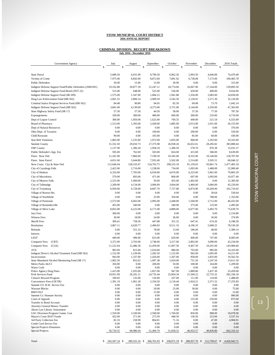## **CRIMINAL DIVISION: RECEIPT BREAKDOWN July 2016 - December 2016**

| Government Agency                                                  | July                 | August               | September             | October              | November             | December              | 2016 Totals             |
|--------------------------------------------------------------------|----------------------|----------------------|-----------------------|----------------------|----------------------|-----------------------|-------------------------|
|                                                                    | Ś                    | \$                   |                       | \$                   | \$                   | \$                    | \$                      |
|                                                                    |                      |                      |                       |                      |                      |                       |                         |
| <b>State Patrol</b><br>Victims of Crime                            | 5,689.50<br>7,975.00 | 6,931.00             | 9,790.50              | 6,962.50             | 2,993.50             | 4,646.89<br>7,172.00  | 74,479.40               |
| <b>Public Defenders</b>                                            | 30.00                | 8,843.00<br>15.00    | 8,872.00<br>15.00     | 7,891.92<br>30.00    | 6,738.08<br>0.00     | 0.00                  | 100,465.78<br>315.00    |
| Indigent Defense Support Fund/Public Defenders (2949.091)          | 19,102.88            | 20,877.39            | 21,247.11             | 18,774.00            | 16,067.00            | 17,144.00             | 239,893.50              |
| Indigent Defense Support Fund-Bond (2937.22)                       | 515.00               | 648.00               | 525.00                | 536.00               | 439.00               | 400.00                | 9,024.00                |
| Indigent Defense Support Fund (SB 209)                             | 1,575.00             | 1,547.00             | 1,684.12              | 1,941.88             | 1,356.00             | 2,083.00              | 24,830.00               |
| Drug Law Enforcement Fund (HB 562)                                 | 2,601.52             | 2,800.14             | 2,900.59              | 2,542.50             | 2,128.92             | 2,271.30              | 32,126.00               |
| Criminal Justice Program Services Fund (HB 562)                    | 84.48                | 90.86                | 94.05                 | 82.50                | 69.08                | 73.70                 | 1,042.14                |
| Indigent Defense Support Fund (HB 562)                             | 3,841.00             | 4,130.00             | 4,273.00              | 3,751.00             | 3,144.00             | 3,350.00              | 47,363.00               |
| State Highway Safety Fund (SB 17)                                  | 57.50                | 57.50                | 44.50                 | 58.00                | 37.50                | 77.50                 | 787.50                  |
| Expungements                                                       | 330.00               | 300.00               | 480.00                | 660.00               | 300.00               | 210.00                | 4,710.00                |
| Dept of Liquor Control                                             | 300.00               | 1,950.00             | 1,625.00              | 760.35               | 449.00               | 521.54                | 6,555.89                |
| <b>Board of Pharmacy</b>                                           | 1,513.00             | 1,393.00             | 2,428.00              | 1,885.00             | 2,013.00             | 1,031.00              | 26,155.00               |
| Dept of Natural Resources                                          | 0.00                 | 0.00                 | 0.00                  | 0.00                 | 0.00                 | 0.00                  | 376.00                  |
| Ohio Dept. of Taxation                                             | 0.00                 | 0.00                 | 100.00                | 0.00                 | 200.00               | 0.00                  | 550.00                  |
| <b>Child Restraint</b>                                             | 90.00                | 0.00                 | 105.00                | 0.00                 | 85.00                | 60.00                 | 430.00                  |
| Seat Belt Violations                                               | 1,803.00             | 1,235.00             | 1,972.00              | 1,835.00             | 968.00               | 1,292.00              | 19,163.00               |
| Summit County                                                      | 31,352.50            | 29,010.73            | 27,375.98             | 26,938.26            | 26,652.61            | 28,285.82             | 383,886.64              |
| <b>OSP</b> County                                                  | 1,137.90             | 1,386.20             | 1,958.10              | 1,380.50             | 578.70               | 876.38                | 15,031.57               |
| Public Defender's App. Fee                                         | 595.00               | 762.00               | 503.00                | 824.00               | 415.00               | 586.00                | 8,639.00                |
| Fines: Stow Ord.                                                   | 11,181.00            | 7,866.00             | 7,199.59              | 10,345.00            | 8,325.00             | 10,146.00             | 128,787.09              |
| Fines: State Patrol                                                | 4,651.60             | 5,644.80             | 7,932.40              | 5,562.00             | 2,314.80             | 3,505.51              | 60,046.32               |
| Stow Costs: City & State Ord.                                      | 112,646.04           | 128,310.47           | 124,763.75            | 108,535.18           | 91,159.63            | 93,861.74             | 1,477,405.18            |
| City of Cuyahoga Falls                                             | 2,422.00             | 2,716.00             | 1,238.00              | 734.00               | 1,093.00             | 1,488.00              | 22,900.40               |
| City of Hudson                                                     | 6,310.00             | 7,783.00             | 6,918.00              | 4,676.00             | 6,323.00             | 5,961.00              | 79,865.29               |
| City of Macedonia                                                  | 579.00<br>2,523.00   | 893.00               | 471.00                | 800.00               | 697.00               | 1,093.00              | 10,977.40<br>12,385.00  |
| City of Munroe Falls<br>City of Tallmadge                          | 2,209.00             | 1,000.00<br>4,134.00 | 50.00<br>3,006.00     | 455.00<br>3,664.00   | 1,402.00<br>3,460.00 | 0.00<br>3,066.00      | 45,220.00               |
| City of Twinsburg                                                  | 6,930.00             | 6,728.00             | 8,847.70              | 7,727.80             | 6,874.90             | 10,269.00             | 102,716.02              |
| Village of Boston Hts.                                             | 0.00                 | 0.00                 | 0.00                  | 0.00                 | 0.00                 | 30.64                 | 530.64                  |
| Village of Northfield                                              | 0.00                 | 0.00                 | 25.00                 | 350.00               | 0.00                 | 788.00                | 1,763.00                |
| Village of Peninsula                                               | 2,573.00             | 6,665.00             | 5,095.00              | 2,448.00             | 1,560.00             | 2,712.00              | 46,432.00               |
| Village of Reminderville                                           | 455.00               | 340.00               | 0.00                  | 340.00               | 375.00               | 125.00                | 2,495.00                |
| Village of Silver Lake                                             | 8,832.00             | 6,222.00             | 6,171.00              | 4,889.00             | 6,077.00             | 5,492.70              | 75,639.70               |
| Jury Fees                                                          | 360.00               | 0.00                 | 0.00                  | 0.00                 | 0.00                 | 0.00                  | 2,154.80                |
| <b>Witness Fees</b>                                                | 30.00                | 18.00                | 24.00                 | 36.00                | 0.00                 | 36.00                 | 374.99                  |
| <b>Sheriff Fees</b>                                                | 309.41               | 758.56               | 447.88                | 351.32               | 647.41               | 674.26                | 6,188.28                |
| Restitution                                                        | 3,867.11             | 4,020.77             | 2,496.83              | 9,511.33             | 4,196.33             | 5,008.25              | 78,539.28               |
| Refunds                                                            | 0.00                 | 551.33               | 78.00                 | 13.00                | 186.00               | 48.00                 | 5,389.14                |
| Interest                                                           | 0.00                 | 0.00                 | 0.00                  | 0.00                 | 0.00                 | 0.00                  | 0.00                    |
| LEEF                                                               | 449.00               | 496.00               | 625.00                | 629.00               | 400.00               | 747.00                | 8,083.00                |
| (CRT)<br><b>Computer Fees</b>                                      | 3,372.00             | 3,763.00             | 3,748.00              | 3,317.00             | 2,802.00             | 3,090.00              | 43,234.00               |
| <b>Computer Fees</b><br>(CLK)                                      | 11,222.64            | 12,486.36            | 12,459.00             | 11,007.50            | 9,407.50             | 10,291.00             | 143,984.60              |
| ATA                                                                | 983.00               | 815.00               | 1,010.00              | 880.00               | 703.00               | 985.00                | 10,163.00               |
| Indigent Driver's Alcohol Treatment Fund (HB 562)<br>Incarceration | 1,152.00<br>943.00   | 1,239.00<br>1,337.00 | 1,282.50<br>1,426.00  | 1,125.00<br>1,207.00 | 942.00<br>958.00     | 1,005.00<br>1,835.00  | 14,211.00<br>19,562.50  |
| State Mandated Alcohol Monitoring Fund (SB 17)                     | 1,002.50             | 852.62               | 1,097.38              | 1,024.00             | 751.50               | 1,247.50              | 13,611.50               |
| Metro Parks Ak/Cl                                                  | 350.00               | 0.00                 | 200.00                | 50.00                | 100.00               | 164.00                | 1,209.00                |
| Water Craft                                                        | 0.00                 | 0.00                 | 0.00                  | 0.00                 | 0.00                 | 0.00                  | 0.00                    |
| Police Agency Drug Fines<br>Prob Services Fund                     | 1,413.00             | 1,935.00             | 1,857.00<br>24,735.44 | 947.90<br>25,904.34  | 1,889.80             | 2,437.30<br>22,755.32 | 25,459.00<br>282,330.18 |
| Citizen's Reward Program                                           | 19,951.99<br>100.83  | 26,291.21<br>135.00  | 120.00                | 107.00               | 21,569.22<br>111.00  | 110.00                | 1,488.00                |
| Convenience Fees (CR/TR)                                           | 1,391.19             | 1,961.28             | 2,334.50              | 2,118.44             | 1,924.21             | 2,371.52              | 17,255.83               |
| Summit CO. B.W. Service Fee                                        | 0.00                 | 0.00                 | 0.00                  | 0.00                 | 0.00                 | 0.00                  | 0.00                    |
| <b>Warrant Blocks</b>                                              | 0.00                 | 0.00                 | 20.00                 | 25.00                | 30.00                | 0.00                  | 75.00                   |
| <b>BMV/OLF</b><br>Summit Co. Humane Society                        | 0.00<br>0.00         | 0.00<br>0.00         | 15.00<br>0.00         | 0.00<br>0.00         | 0.00<br>0.00         | 0.00<br>0.00          | 15.00<br>900.00         |
| Court of Appeals                                                   | 0.00                 | 0.00                 | 0.00                  | 0.00                 | 125.00               | 250.00                | 875.00                  |
| <b>Transfer to Bond Account</b>                                    | 0.00                 | 0.00                 | 0.00                  | 0.00                 | 0.00                 | 0.00                  | 0.00                    |
| <b>Attorney General Money Transfer</b>                             | 0.00                 | 0.00                 | 0.00                  | 0.00                 | 0.00                 | 0.00                  | 0.00                    |
| Akron Law Library Assessment                                       | 0.00                 | 0.00                 | 0.00                  | 0.00                 | 0.00                 | 0.00                  | 0.00                    |
| UAC Diversion Program Comm. Cost<br>Mayor's Court IDAT Funds       | 1,550.00<br>432.00   | 3,100.00<br>271.00   | 2,590.00<br>273.50    | 1,760.00<br>448.50   | 850.00<br>136.50     | 988.00<br>253.00      | 18,078.00<br>3,537.10   |
| 3rd Party Collection Fee                                           | 82.10                | 258.90               | 804.81                | 71.16                | 0.00                 | 47.00                 | 4,904.91                |
| Credit Card Service Fee                                            | 0.00                 | 0.00                 | 0.00                  | 0.00                 | 0.00                 | 0.00                  | 0.00                    |
| <b>Special Projects Donations</b>                                  | 0.00                 | 0.00                 | 0.00                  | 0.00                 | 0.00                 | 0.00                  | 0.00                    |
| Special Projects                                                   | 56,720.55            | 68,986.04            | 51,406.70             | 51,058.31            | 46,932.57            | 49,836.80             | 662,333.14              |
|                                                                    |                      |                      |                       |                      |                      |                       |                         |

 $\left( \begin{array}{c} 13 \end{array} \right)$ 

Total: S 345,587.24 \$ 389,555.16 \$ 366,761.93 \$ 338,971.19 \$ 288,957.76 \$ 312,799.67 \$ 4,426,942.71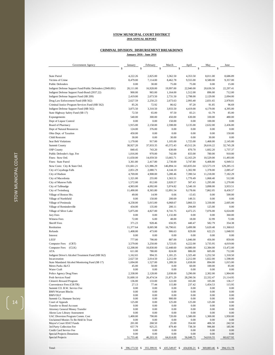#### **CRIMINAL DIVISION: DISBURSEMENT BREAKDOWN**

**January 2016 - June 2016**

| Government Agency                                            | January        | February      | March                | April          | May            | June              |
|--------------------------------------------------------------|----------------|---------------|----------------------|----------------|----------------|-------------------|
|                                                              | \$<br>\$       |               | \$<br>\$             |                | \$             | S                 |
|                                                              |                |               |                      |                |                |                   |
| <b>State Patrol</b>                                          | 4,222.26       | 2,825.00      | 3,362.50             | 4,353.50       | 8,011.00       | 8,686.89          |
| Victims of Crime                                             | 8,479.00       | 7,114.00      | 8,462.78             | 9,555.00       | 8,580.00       | 9,357.00          |
| <b>Public Defenders</b>                                      | 0.00           | 30.00         | 75.00                | 75.00          | 0.00           | 15.00             |
| Indigent Defense Support Fund/Public Defenders (2949.091)    | 20,111.00      | 16,928.00     | 19,997.00            | 22,940.00      | 20,636.50      | 22,297.41         |
| Indigent Defense Support Fund-Bond (2937.22)                 | 900.00         | 965.00        | 1,164.00             | 1,512.00       | 896.00         | 712.00            |
| Indigent Defense Support Fund (SB 209)                       | 2,419.00       | 2,673.50      | 2,731.50             | 2,798.00       | 2,129.00       | 2,094.00          |
| Drug Law Enforcement Fund (HB 562)                           | 2,627.59       | 2,250.23      | 2,673.63             | 2,993.40       | 2,831.65       | 2,978.81          |
| Criminal Justice Program Services Fund (HB 562)              | 85.26          | 72.92         | 86.62                | 97.20          | 91.85          | 96.69             |
| Indigent Defense Support Fund (HB 562)                       | 3,875.50       | 3,310.50      | 3,933.50             | 4,419.00       | 4,179.00       | 4,395.00          |
| State Highway Safety Fund (SB 17)                            | 72.50          | 65.00         | 97.50                | 83.21          | 61.79          | 85.00             |
| Expungements                                                 | 540.00         | 300.00        | 450.00               | 630.00         | 330.00         | 480.00            |
| Dept of Liquor Control                                       | 0.00           | 0.00          | 150.00               | 0.00           | 100.00         | 0.00              |
| Board of Pharmacy                                            | 1,915.00       | 2,158.00      | 2,598.00             | 3,135.00       | 2,632.00       | 2,436.00          |
| Dept of Natural Resources                                    | 124.00         | 376.00        | 0.00                 | 0.00           | 0.00           | 0.00              |
| Ohio Dept. of Taxation                                       | 450.00         | 0.00          | 0.00                 | 0.00           | 0.00           | 150.00            |
| <b>Child Restraint</b>                                       | 30.00          | 0.00          | 30.00                | 0.00           | 30.00          | 0.00              |
| Seat Belt Violations                                         | 1,170.00       | 917.00        | 1,105.00             | 1,725.00       | 1,468.00       | 2,145.00          |
| <b>Summit County</b>                                         | 38,927.20      | 37,933.35     | 43,372.43            | 43,512.26      | 26,616.22      | 32,745.28         |
| <b>OSP</b> County                                            | 840.45         | 743.20        | 630.00               | 870.70         | 1,602.20       | 1,737.37          |
| Public Defender's App. Fee                                   | 1,016.00       | 970.00        | 742.00               | 833.00         | 780.00         | 910.00            |
| Fines: Stow Ord.                                             | 11,650.00      | 14,059.50     | 13,665.71            | 12,163.29      | 10,529.00      | 11,493.00         |
| Fines: State Patrol                                          | 3,361.80       | 2,417.80      | 2,730.00             | 3,747.80       | 6,408.80       | 6,949.51          |
| Stow Costs: City & State Ord.                                | 131,661.21     | 121,986.29    | 146,894.14           | 163,835.04     | 123,573.19     | 129,285.15        |
| City of Cuyahoga Falls                                       | 2,851.29       | 2,080.71      | 4,144.10             | 1,302.90       | 1,378.00       | 2,085.47          |
| City of Hudson                                               | 4,769.00       | 4,908.00      | 5,280.46             | 7,390.54       | 11,218.00      | 7,182.29          |
| City of Macedonia                                            | 1,321.00       | 255.00        | 1,563.51             | 1,770.49       | 1,068.40       | 512.00            |
| City of Munroe Falls                                         | 1,572.00       | 812.00        | 2,020.57             | 507.43         | 1,295.00       | 1,270.00          |
| City of Tallmadge                                            | 4,903.00       | 4,092.00      | 5,974.82             | 5,540.18       | 3,898.00       | 3,933.51          |
| City of Twinsburg                                            | 11,490.00      | 8,365.80      | 12,891.54            | 9,178.66       | 7,862.05       | 8,430.57          |
| Village of Boston Hts.                                       | 49.00          | 14.99         | 0.66                 | $-15.65$       | 0.00           | 500.00            |
| Village of Northfield                                        | 0.00           | 150.00        | 200.69               | 149.31         | 0.00           | 0.00              |
| Village of Peninsula                                         | 4,258.00       | 5,015.00      | 6,068.67             | 3,860.33       | 3,330.00       | 2,605.00          |
| Village of Reminderville                                     | 434.00         | 135.00        | 200.11               | 294.89         | 125.00         | 0.00              |
| Village of Silver Lake                                       | 5,875.00       | 4,827.00      | 8,741.75             | 4,472.25       | 7,076.00       | 6,024.00          |
| Jury Fees                                                    | 0.00           | 0.00          | 1,132.80             | 0.00           | 0.00           | 360.00            |
| <b>Witness Fees</b>                                          | 72.00          | 6.00          | 48.00                | 18.00          | 32.99          | 72.00             |
| <b>Sheriff Fees</b>                                          | 371.23         | 928.46        | 656.95               | 440.47         | 582.79         | 354.38            |
| Restitution                                                  | 11,377.64      | 8,005.98      | 16,790.61            | 3,499.98       | 5,620.48       | 11,368.63         |
| Refunds                                                      | 1,408.00       | 473.00        | 906.63               | 829.00         | 622.25         | 1,048.93          |
| Interest                                                     | 0.00           | 0.00          | 0.00                 | 0.00           | 0.00           | 0.00              |
| <b>LEEF</b>                                                  | 777.00         | 790.00        | 887.00               | 1,046.00       | 456.00         | 859.00            |
| <b>Computer Fees</b><br>(CRT)                                | 3,579.00       | 3,250.00      | 3,723.05             | 4,222.00       | 3,735.95       | 4,019.00          |
| <b>Computer Fees</b><br>(CLK)                                | 12,208.00      | 10,830.00     | 12,448.60            | 14,080.00      | 12,384.00      | 13,472.00         |
| ATA                                                          | 611.00         | 780.00        | 824.00               | 886.00         | 605.00         | 712.00            |
| Indigent Driver's Alcohol Treatment Fund (HB 562)            | 1,162.65       | 994.35        | 1,181.25             | 1,325.40       | 1,252.50       | 1,318.50          |
| Incarceration                                                | 2,627.50       | 2,014.50      | 2,212.00             | 2,212.00       | 1,822.00       | 1,598.00          |
| State Mandated Alcohol Monitoring Fund (SB 17)               | 1,694.00       | 1,527.00      | 1,289.50<br>$0.00\,$ | 1,658.00       | 894.00         | 1,015.00<br>85.00 |
| Metro Parks Ak/Cl<br>Water Craft                             | 45.00<br>0.00  | 50.00<br>0.00 | 0.00                 | 60.00<br>0.00  | 100.00<br>0.00 | 0.00              |
| Police Agency Drug Fines                                     | 2,338.00       | 2,128.00      | 2,038.00             | 3,290.00       | 2,302.00       | 1,904.00          |
| Prob Services Fund                                           | 31,600.10      | 26,474.54     | 21,871.29            | 28,290.56      | 22,332.47      | 21,114.95         |
| Citizen's Reward Program                                     | 136.00         | 133.00        | 122.00               | 165.00         | 105.00         | 136.17            |
| Convenience Fees (CR/TR)                                     | 27.13          | 77.44         | 115.80               | 237.42         | 1,454.53       | 115.95            |
| Summit CO. B.W. Service Fee                                  | 0.00           | 0.00          | 0.00                 | 0.00           | 0.00           | 0.00              |
| <b>BMV/Warrant Blocks</b>                                    | 0.00           | 0.00          | 0.00                 | 0.00           | 0.00           | 0.00              |
| <b>BMV/OLF</b>                                               | 0.00           | 0.00          | 0.00                 | 0.00           | 0.00           | 0.00              |
| Summit Co. Humane Society                                    | 0.00           | 0.00          | 900.00               | 0.00           | 0.00           | 0.00              |
| Court of Appeals<br>Transfer to Bond Account                 | 125.00<br>0.00 | 0.00<br>0.00  | 125.00<br>0.00       | 125.00<br>0.00 | 125.00<br>0.00 | 0.00<br>0.00      |
| <b>Attorney General Money Transfer</b>                       | 0.00           | 0.00          | 0.00                 | 0.00           | 0.00           | 0.00              |
| Akron Law Library Assessment                                 | 0.00           | 0.00          | $0.00\,$             | 0.00           | 0.00           | 0.00              |
| UAC Diversion Program Comm. Cost                             | 1,400.00       | 790.00        | 720.00               | 1,580.00       | 1,300.00       | 1,950.00          |
| Unclaimed Monies To Be Held In Trust                         | 0.00           | 0.00          | 0.00                 | 0.00           | 0.00           | 0.00              |
| Mayor's Court IDAT Funds                                     | 201.00         | 268.50        | 25.00                | 354.60         | 406.50         | 242.50            |
| 3rd Party Collection Fee                                     | 657.79         | 925.25        | 879.40               | 738.30         | 996.80         | 185.90            |
| Credit Card Service Fee<br><b>Special Projects Donations</b> | 0.00<br>0.00   | 0.00<br>0.00  | 0.00<br>0.00         | 0.00<br>0.00   | 0.00<br>0.00   | 0.00<br>0.00      |
| <b>Special Projects</b>                                      | 51,755.40      | 46,203.10     | 64,614.00            | 56,048.75      | 54,016.55      | 60,627.92         |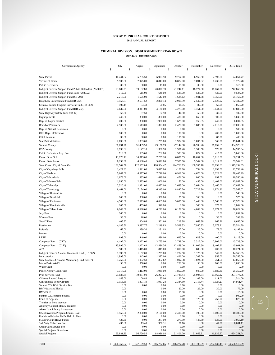#### **July 2016 - December 2016 CRIMINAL DIVISION: DISBURSEMENT BREAKDOWN**

| Government Agency                                                        | July                 | August              | September             | October              | November             | December            | 2016 Totals            |
|--------------------------------------------------------------------------|----------------------|---------------------|-----------------------|----------------------|----------------------|---------------------|------------------------|
|                                                                          | $\mathsf S$          | \$                  | $\mathcal{S}$         | \$                   | Ŝ                    | \$                  | <sup>\$</sup>          |
| <b>State Patrol</b>                                                      | 10,241.62            | 5,735.50            | 6,903.50              | 9,757.00             | 6,962.50             | 2,993.50            | 74,054.77              |
| Victims of Crime                                                         | 9,905.00             | 7,975.00            | 8,843.00              | 8,872.00             | 7,891.92             | 6,738.08            | 101,772.78             |
| <b>Public Defenders</b>                                                  | 30.00                | 30.00               | 15.00                 | 15.00                | 30.00                | 0.00                | 315.00                 |
| Indigent Defense Support Fund/Public Defenders (2949.091)                | 23,882.21            | 19,102.88           | 20,877.39             | 21,247.11            | 18,774.00            | 16,067.00           | 242,860.50             |
| Indigent Defense Support Fund-Bond (2937.22)                             | 712.00               | 515.00              | 648.00                | 525.00               | 536.00               | 439.00              | 9,524.00               |
| Indigent Defense Support Fund (SB 209)                                   | 2,217.00             | 1,575.00            | 1,547.00              | 1,684.12             | 1,941.88             | 1,356.00            | 25,166.00              |
| Drug Law Enforcement Fund (HB 562)                                       | 3,153.31             | 2,601.52            | 2,800.14              | 2,900.59             | 2,542.50             | 2,128.92            | 32,482.29              |
| Criminal Justice Program Services Fund (HB 562)                          | 102.19               | 84.48               | 90.86                 | 94.05                | 82.50                | 69.08               | 1,053.70               |
| Indigent Defense Support Fund (HB 562)                                   | 4,637.00             | 3,841.00            | 4,130.00              | 4,273.00             | 3,751.00             | 3,144.00            | 47,888.50              |
| State Highway Safety Fund (SB 17)                                        | 62.50                | 57.50               | 57.50                 | 44.50                | 58.00                | 37.50               | 782.50                 |
| Expungements<br>Dept of Liquor Control                                   | 240.00<br>700.00     | 330.00<br>300.00    | 300.00<br>1,950.00    | 480.00<br>1,625.00   | 660.00<br>760.35     | 300.00<br>449.00    | 5,040.00<br>6,034.35   |
| <b>Board of Pharmacy</b>                                                 | 2,933.00             | 1,513.00            | 1,393.00              | 2,428.00             | 1,885.00             | 2,013.00            | 27,039.00              |
| Dept of Natural Resources                                                | 0.00                 | 0.00                | 0.00                  | 0.00                 | 0.00                 | 0.00                | 500.00                 |
| Ohio Dept. of Taxation                                                   | 100.00               | 0.00                | 0.00                  | 100.00               | 0.00                 | 200.00              | 1,000.00               |
| <b>Child Restraint</b>                                                   | 30.00                | 90.00               | 0.00                  | 105.00               | 0.00                 | 85.00               | 400.00                 |
| Seat Belt Violations                                                     | 2,698.00             | 1,803.00            | 1,235.00              | 1,972.00             | 1,835.00             | 968.00              | 19,041.00              |
| Summit County                                                            | 30,091.20            | 31,439.50           | 29,156.73             | 27,142.98            | 26,938.26            | 26,652.61           | 394,528.02             |
| <b>OSP County</b>                                                        | 2,133.32             | 1,147.10            | 1,380.70              | 1,951.40             | 1,380.50             | 578.70              | 14,995.64              |
| Public Defender's App. Fee                                               | 719.00               | 595.00              | 762.00                | 503.00               | 824.00               | 415.00              | 9,069.00               |
| Fines: Stow Ord.                                                         | 13,173.12            | 10,813.60           | 7,237.28              | 6,836.59             | 10,657.00            | 8,013.00            | 130,291.09             |
| Fines: State Patrol                                                      | 8,193.30             | 4,688.40            | 5,622.80              | 7,905.60             | 5,562.00             | 2,314.80            | 59,902.61              |
| Stow Costs: City & State Ord.                                            | 132,504.56           | 112,652.04          | 128,304.47            | 124,763.75           | 108,535.18           | 91,199.63           | 1,515,194.65           |
| City of Cuyahoga Falls                                                   | 1,427.93             | 1,921.00            | 3,827.00              | $-106.00$            | 734.00<br>4,676.00   | 1,093.00            | 22,739.40              |
| City of Hudson<br>City of Macedonia                                      | 5,647.00<br>1,678.00 | 6,377.00<br>833.00  | 7,716.00<br>$-419.00$ | 6,918.00<br>471.00   | 800.00               | 6,323.00<br>697.00  | 78,405.29<br>10,550.40 |
| City of Munroe Falls                                                     | 1,050.00             | 2,523.00            | 1,000.00              | 50.00                | 455.00               | 1,402.00            | 13,957.00              |
| City of Tallmadge                                                        | 2,520.49             | 1,931.00            | 4,457.00              | 2,683.00             | 3,664.00             | 3,460.00            | 47,057.00              |
| City of Twinsburg                                                        | 8,461.00             | 7,124.00            | 6,313.00              | 8,847.70             | 7,727.80             | 6,874.90            | 103,567.02             |
| Village of Boston Hts.                                                   | 0.00                 | 0.00                | 0.00                  | 0.00                 | 0.00                 | 0.00                | 549.00                 |
| Village of Northfield                                                    | 100.00               | 338.00              | $-338.00$             | 25.00                | 350.00               | 0.00                | 975.00                 |
| Village of Peninsula                                                     | 4,500.00             | 2,573.00            | 6,665.00              | 5,095.00             | 2,448.00             | 1,560.00            | 47,978.00              |
| Village of Reminderville                                                 | 105.00               | 455.00              | 340.00                | 0.00                 | 340.00               | 375.00              | 2,804.00               |
| Village of Silver Lake                                                   | 6,949.00             | 8,698.00            | 6,222.00              | 6,171.00             | 4,889.00             | 6,077.00            | 76,022.00              |
| Jury Fees                                                                | 360.00               | 0.00                | 0.00                  | 0.00                 | 0.00                 | 0.00                | 1,852.80               |
| <b>Witness Fees</b><br><b>Sheriff Fees</b>                               | 36.00<br>405.82      | 18.00<br>804.84     | 24.00<br>561.60       | 36.00<br>218.88      | 0.00<br>663.38       | 36.00<br>666.26     | 398.99<br>6,655.06     |
| Restitution                                                              | 4,185.50             | 3,897.77            | 2,219.83              | 5,529.33             | 7,950.33             | 3,078.21            | 83,524.29              |
| Refunds                                                                  | 62.00                | 389.30              | 231.03                | 22.00                | 126.00               | 79.00               | 6,197.14               |
| Interest                                                                 | 0.00                 | 0.00                | 0.00                  | 0.00                 | 0.00                 | 0.00                | 0.00                   |
| LEEF                                                                     | 699.00               | 449.00              | 496.00                | 625.00               | 629.00               | 400.00              | 8,113.00               |
| <b>Computer Fees</b><br>(CRT)                                            | 4,192.00             | 3,372.00            | 3,763.00              | 3,748.00             | 3,317.00             | 2,802.00            | 43,723.00              |
| <b>Computer Fees</b><br>(CLK)                                            | 13,896.00            | 11,222.64           | 12,486.36             | 12,459.00            | 11,007.50            | 9,407.50            | 145,901.60             |
| ATA                                                                      | 980.00               | 1,415.00            | 815.00                | 1,010.00             | 880.00               | 703.00              | 10,221.00              |
| Indigent Driver's Alcohol Treatment Fund (HB 562)<br>Incarceration       | 1,393.50<br>1,998.00 | 1,152.00<br>943.00  | 1,239.00<br>1,337.00  | 1,282.50<br>1,426.00 | 1,125.00<br>1,207.00 | 942.00<br>958.00    | 14,368.65<br>20,355.00 |
| State Mandated Alcohol Monitoring Fund (SB 17)                           | 1,252.50             | 1,002.50            | 852.62                | 1,097.38             | 1,024.00             | 751.50              | 14,058.00              |
| Metro Parks Ak/Cl                                                        | 50.00                | 350.00              | 0.00                  | 200.00               | 50.00                | 100.00              | 1.090.00               |
| Water Craft                                                              | 0.00                 | 0.00                | 0.00                  | 0.00                 | 0.00                 | $0.00\,$            | 0.00                   |
| Police Agency Drug Fines                                                 | 3,317.00             | 1,413.00            | 1,935.00              | 1,857.00             | 947.90               | 1,889.80            | 25,359.70              |
| Prob Services Fund<br>Citizen's Reward Program                           | 21,038.85<br>143.00  | 19,951.99<br>100.83 | 26,291.21<br>135.00   | 24,735.44<br>120.00  | 25,904.34<br>107.00  | 21,569.22<br>111.00 | 291,174.96<br>1,514.00 |
| Convenience Fees (CR/TR)                                                 | 3,153.55             | 1,391.19            | 1,961.28              | 2,334.50             | 2,118.44             | 1,924.21            | 14,911.44              |
| Summit CO. B.W. Service Fee                                              | 0.00                 | 0.00                | 0.00                  | 0.00                 | 0.00                 | 0.00                | 0.00                   |
| <b>BMV/Warrant Blocks</b>                                                | 0.00                 |                     | 0.00                  | 20.00                | 25.00                | 30.00               | 75.00                  |
| <b>BMV/OLF</b><br>Summit Co. Humane Society                              | 0.00<br>0.00         | 0.00<br>0.00        | 0.00<br>0.00          | 15.00<br>0.00        | 0.00<br>0.00         | 0.00<br>0.00        | 15.00<br>900.00        |
| Court of Appeals                                                         | 0.00                 | 0.00                | 0.00                  | 0.00                 | 125.00               | 250.00              | 875.00                 |
| Transfer to Bond Account                                                 | 0.00                 | 0.00                | 0.00                  | 0.00                 | 0.00                 | 0.00                | 0.00                   |
| <b>Attorney General Money Transfer</b>                                   | 0.00                 | 0.00                | 0.00                  | 0.00                 | 0.00                 | 0.00                | 0.00                   |
| Akron Law Library Assessment                                             | 0.00<br>1,550.00     | 0.00<br>2,800.00    | 0.00<br>2,190.00      | 0.00<br>2,410.00     | 0.00<br>700.00       | 0.00<br>1,000.00    | 0.00<br>18,390.00      |
| UAC Diversion Program Comm. Cost<br>Unclaimed Monies To Be Held In Trust | 0.00                 | 0.00                | 0.00                  | 0.00                 | 0.00                 | 0.00                | 0.00                   |
| Mayor's Court IDAT Funds                                                 | 425.50               | 0.00                | 271.00                | 273.50               | 448.50               | 136.50              | 3,053.10               |
| 3rd Party Collection Fee                                                 | 435.80               | 113.40              | 950.31                | 71.16                | 0.00                 | 47.00               | 6,001.11               |
| Credit Card Service Fee<br><b>Special Projects Donations</b>             | 0.00<br>0.00         | 0.00<br>0.00        | 0.00<br>0.00          | 0.00<br>0.00         | 0.00<br>0.00         | 0.00<br>0.00        | 0.00<br>0.00           |
| Special Projects                                                         | 55,881.85            | 56,720.55           | 68,986.04             | 51,406.70            | 51,058.31            | 46,932.57           | 664,251.74             |
|                                                                          |                      |                     |                       |                      |                      |                     |                        |

 $\Big| \Big|$  15  $\Big|$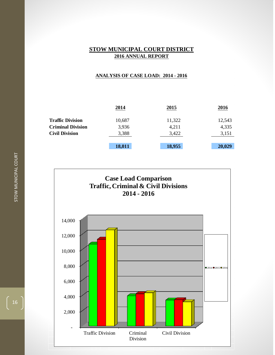#### **ANALYSIS OF CASE LOAD: 2014 - 2016**

|                          | 2014   | 2015   | 2016   |
|--------------------------|--------|--------|--------|
| <b>Traffic Division</b>  | 10,687 | 11,322 | 12,543 |
| <b>Criminal Division</b> | 3,936  | 4,211  | 4,335  |
| <b>Civil Division</b>    | 3,388  | 3,422  | 3,151  |
|                          |        |        |        |
|                          | 18,011 | 18,955 | 20,029 |

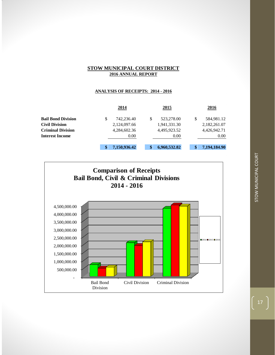#### **ANALYSIS OF RECEIPTS: 2014 - 2016**

|                           | 2014             |   | 2015         |   | 2016         |
|---------------------------|------------------|---|--------------|---|--------------|
| <b>Bail Bond Division</b> | \$<br>742,236.40 | S | 523,278.00   | S | 584,981.12   |
| <b>Civil Division</b>     | 2,124,097.66     |   | 1,941,331.30 |   | 2,182,261.07 |
| <b>Criminal Division</b>  | 4,284,602.36     |   | 4,495,923.52 |   | 4,426,942.71 |
| <b>Interest Income</b>    | 0.00             |   | 0.00         |   | 0.00         |
|                           | 7,150,936.42     |   | 6,960,532.82 |   | 7,194,184.90 |

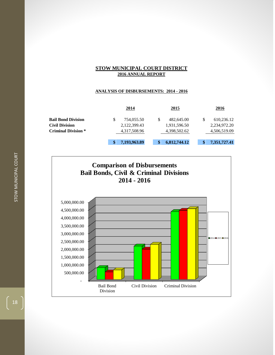#### **ANALYSIS OF DISBURSEMENTS: 2014 - 2016**

|                            | 2014               |   | 2015         | 2016         |
|----------------------------|--------------------|---|--------------|--------------|
| <b>Bail Bond Division</b>  | \$<br>754,055.50   | S | 482,645.00   | 610,236.12   |
| <b>Civil Division</b>      | 2,122,399.43       |   | 1,931,596.50 | 2,234,972.20 |
| <b>Criminal Division *</b> | 4,317,508.96       |   | 4,398,502.62 | 4,506,519.09 |
|                            | \$<br>7,193,963.89 |   | 6,812,744.12 | 7,351,727.41 |